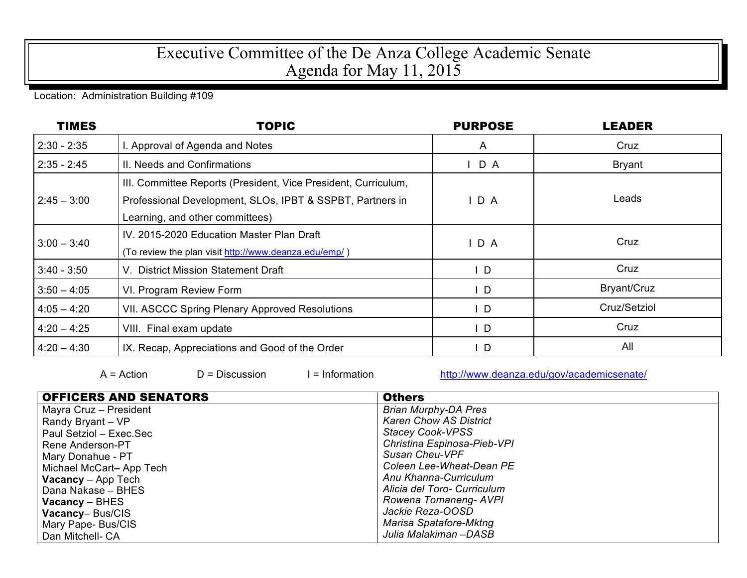## Executive Committee of the De Anza College Academic Senate Agenda for May 11, 2015

## Location: Administration Building #109

| <b>TIMES</b>  | <b>TOPIC</b>                                                                                                                                                   | <b>PURPOSE</b> | <b>LEADER</b> |
|---------------|----------------------------------------------------------------------------------------------------------------------------------------------------------------|----------------|---------------|
| $2:30 - 2:35$ | I. Approval of Agenda and Notes                                                                                                                                | $\mathsf{A}$   | Cruz          |
| $2:35 - 2:45$ | II. Needs and Confirmations                                                                                                                                    | D A            | <b>Bryant</b> |
| $2:45 - 3:00$ | III. Committee Reports (President, Vice President, Curriculum,<br>Professional Development, SLOs, IPBT & SSPBT, Partners in<br>Learning, and other committees) | D A            | Leads         |
| $3:00 - 3:40$ | IV. 2015-2020 Education Master Plan Draft<br>(To review the plan visit http://www.deanza.edu/emp/)                                                             | $I$ D A        | Cruz          |
| $3:40 - 3:50$ | V. District Mission Statement Draft                                                                                                                            | $\mathsf{L}$   | Cruz          |
| $3:50 - 4:05$ | VI. Program Review Form                                                                                                                                        | $\mathsf{L}$   | Bryant/Cruz   |
| $4:05 - 4:20$ | VII. ASCCC Spring Plenary Approved Resolutions                                                                                                                 | $\mathsf{L}$   | Cruz/Setziol  |
| $4:20 - 4:25$ | VIII. Final exam update                                                                                                                                        | ID             | Cruz          |
| $4:20 - 4:30$ | IX. Recap, Appreciations and Good of the Order                                                                                                                 | I D            | All           |

 $A = Action$  D = Discussion I = Information http://www.deanza.edu/gov/academicsenate/

| <b>OFFICERS AND SENATORS</b> | <b>Others</b>                 |  |  |
|------------------------------|-------------------------------|--|--|
| Mayra Cruz - President       | <b>Brian Murphy-DA Pres</b>   |  |  |
| Randy Bryant - VP            | <b>Karen Chow AS District</b> |  |  |
| Paul Setziol – Exec.Sec      | <b>Stacey Cook-VPSS</b>       |  |  |
| Rene Anderson-PT             | Christina Espinosa-Pieb-VPI   |  |  |
| Mary Donahue - PT            | <b>Susan Cheu-VPF</b>         |  |  |
| Michael McCart-App Tech      | Coleen Lee-Wheat-Dean PE      |  |  |
| <b>Vacancy</b> $-$ App Tech  | Anu Khanna-Curriculum         |  |  |
| Dana Nakase - BHES           | Alicia del Toro- Curriculum   |  |  |
| $Vacancy - BHES$             | Rowena Tomaneng- AVPI         |  |  |
| Vacancy-Bus/CIS              | Jackie Reza-OOSD              |  |  |
| Mary Pape- Bus/CIS           | Marisa Spatafore-Mktng        |  |  |
| Dan Mitchell- CA             | Julia Malakiman -DASB         |  |  |